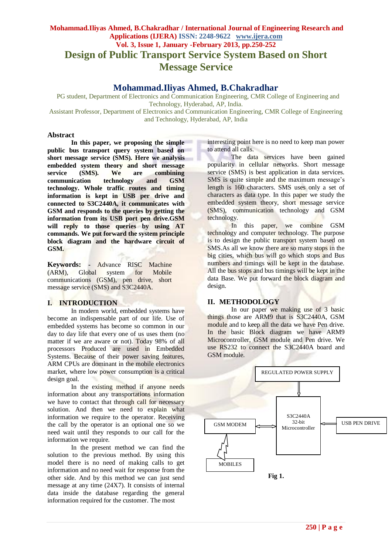# **Mohammad.Iliyas Ahmed, B.Chakradhar / International Journal of Engineering Research and Applications (IJERA) ISSN: 2248-9622 www.ijera.com Vol. 3, Issue 1, January -February 2013, pp.250-252 Design of Public Transport Service System Based on Short Message Service**

# **Mohammad.Iliyas Ahmed, B.Chakradhar**

 PG student, Department of Electronics and Communication Engineering, CMR College of Engineering and Technology, Hyderabad, AP, India.

Assistant Professor, Department of Electronics and Communication Engineering, CMR College of Engineering and Technology, Hyderabad, AP, India

#### **Abstract**

**In this paper, we proposing the simple public bus transport query system based on short message service (SMS). Here we analysis embedded system theory and short message service (SMS). We are combining communication technology and GSM technology. Whole traffic routes and timing information is kept in USB per drive and connected to S3C2440A, it communicates with GSM and responds to the queries by getting the information from its USB port pen drive.GSM will reply to those queries by using AT commands. We put forward the system principle block diagram and the hardware circuit of GSM.**

**Keywords: -** Advance RISC Machine (ARM), Global system for Mobile communications (GSM), pen drive, short message service (SMS) and S3C2440A.

# **I. INTRODUCTION**

In modern world, embedded systems have become an indispensable part of our life. Use of embedded systems has become so common in our day to day life that every one of us uses them (no matter if we are aware or not). Today 98% of all processors Produced are used in Embedded Systems. Because of their power saving features, ARM CPUs are dominant in the mobile electronics market, where low power consumption is a critical design goal.

In the existing method if anyone needs information about any transportations information we have to contact that through call for necessary solution. And then we need to explain what information we require to the operator. Receiving the call by the operator is an optional one so we need wait until they responds to our call for the information we require.

In the present method we can find the solution to the previous method. By using this model there is no need of making calls to get information and no need wait for response from the other side. And by this method we can just send message at any time (24X7). It consists of internal data inside the database regarding the general information required for the customer. The most

interesting point here is no need to keep man power to attend all calls.

The data services have been gained popularity in cellular networks. Short message service (SMS) is best application in data services. SMS is quite simple and the maximum message's length is 160 characters. SMS uses only a set of characters as data type. In this paper we study the embedded system theory, short message service (SMS), communication technology and GSM technology.

In this paper, we combine GSM technology and computer technology. The purpose is to design the public transport system based on SMS.As all we know there are so many stops in the big cities, which bus will go which stops and Bus numbers and timings will be kept in the database. All the bus stops and bus timings will be kept in the data Base. We put forward the block diagram and design.

# **II. METHODOLOGY**

In our paper we making use of 3 basic things those are ARM9 that is S3C2440A, GSM module and to keep all the data we have Pen drive. In the basic Block diagram we have ARM9 Microcontroller, GSM module and Pen drive. We use RS232 to connect the S3C2440A board and GSM module.

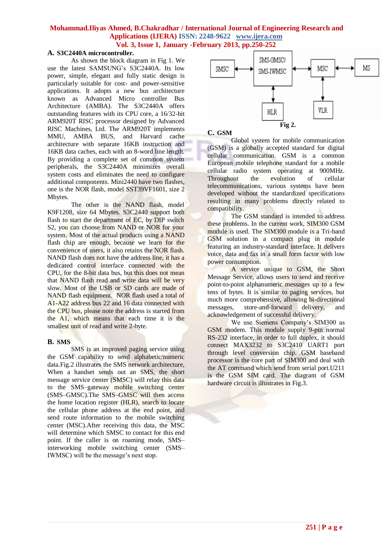## **Mohammad.Iliyas Ahmed, B.Chakradhar / International Journal of Engineering Research and Applications (IJERA) ISSN: 2248-9622 www.ijera.com Vol. 3, Issue 1, January -February 2013, pp.250-252**

#### **A. S3C2440A microcontroller.**

As shown the block diagram in Fig 1. We use the latest SAMSUNG's S3C2440A. Its low power, simple, elegant and fully static design is particularly suitable for cost- and power-sensitive applications. It adopts a new bus architecture known as Advanced Micro controller Bus Architecture (AMBA). The S3C2440A offers outstanding features with its CPU core, a 16/32-bit ARM920T RISC processor designed by Advanced RISC Machines, Ltd. The ARM920T implements MMU, AMBA BUS, and Harvard cache architecture with separate 16KB instruction and 16KB data caches, each with an 8-word line length. By providing a complete set of common system peripherals, the S3C2440A minimizes overall system costs and eliminates the need to configure additional components. Mini2440 have two flashes, one is the NOR flash, model SST39VF1601, size 2 Mbytes.

The other is the NAND flash, model K9F1208, size 64 Mbytes. S3C2440 support both flash to start the department of EC, by DIP switch S2, you can choose from NAND or NOR for your system. Most of the actual products using a NAND flash chip are enough, because we learn for the convenience of users, it also retains the NOR flash. NAND flash does not have the address line, it has a dedicated control interface connected with the CPU, for the 8-bit data bus, but this does not mean that NAND flash read and write data will be very slow. Most of the USB or SD cards are made of NAND flash equipment. NOR flash used a total of A1-A22 address bus 22 and 16 data connected with the CPU bus, please note the address is started from the A1, which means that each time it is the smallest unit of read and write 2-byte.

#### **B. SMS**

SMS is an improved paging service using the GSM capability to send alphabetic/numeric data.Fig.2 illustrates the SMS network architecture, When a handset sends out an SMS, the short message service center (SMSC) will relay this data to the SMS–gateway mobile switching center (SMS–GMSC).The SMS–GMSC will then access the home location register (HLR), search to locate the cellular phone address at the end point, and send route information to the mobile switching center (MSC).After receiving this data, the MSC will determine which SMSC to contact for this end point. If the caller is on roaming mode, SMS– interworking mobile switching center (SMS– IWMSC) will be the message's next stop.



### **C. GSM**

Global system for mobile communication (GSM) is a globally accepted standard for digital cellular communication. GSM is a common European mobile telephone standard for a mobile cellular radio system operating at 900MHz. Throughout the evolution of cellular telecommunications, various systems have been developed without the standardized specifications resulting in many problems directly related to compatibility.

The GSM standard is intended to address these problems. In the current work, SIM300 GSM module is used. The SIM300 module is a Tri-band GSM solution in a compact plug in module featuring an industry-standard interface. It delivers voice, data and fax in a small form factor with low power consumption.

A service unique to GSM, the Short Message Service, allows users to send and receive point-to-point alphanumeric messages up to a few tens of bytes. It is similar to paging services, but much more comprehensive, allowing bi-directional messages, store-and-forward delivery, and acknowledgement of successful delivery.

We use Siemens Company's SIM300 as GSM modem. This module supply 9-pin normal RS-232 interface, in order to full duplex, it should connect MAX3232 to S3C2410 UART1 port through level conversion chip. GSM baseband processor is the core part of SIM300 and deal with the AT command which send from serial port.U211 is the GSM SIM card. The diagram of GSM hardware circuit is illustrates in Fig.3.